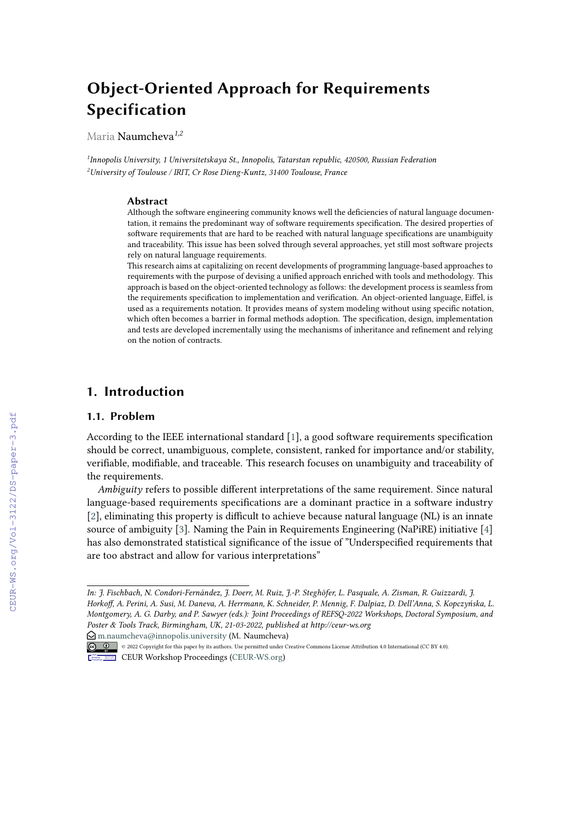# **Object-Oriented Approach for Requirements Specification**

Maria Naumcheva*1,2*

*1 Innopolis University, 1 Universitetskaya St., Innopolis, Tatarstan republic, 420500, Russian Federation <sup>2</sup>University of Toulouse / IRIT, Cr Rose Dieng-Kuntz, 31400 Toulouse, France*

#### **Abstract**

Although the software engineering community knows well the deficiencies of natural language documentation, it remains the predominant way of software requirements specification. The desired properties of software requirements that are hard to be reached with natural language specifications are unambiguity and traceability. This issue has been solved through several approaches, yet still most software projects rely on natural language requirements.

This research aims at capitalizing on recent developments of programming language-based approaches to requirements with the purpose of devising a unified approach enriched with tools and methodology. This approach is based on the object-oriented technology as follows: the development process is seamless from the requirements specification to implementation and verification. An object-oriented language, Eiffel, is used as a requirements notation. It provides means of system modeling without using specific notation, which often becomes a barrier in formal methods adoption. The specification, design, implementation and tests are developed incrementally using the mechanisms of inheritance and refinement and relying on the notion of contracts.

## **1. Introduction**

#### **1.1. Problem**

According to the IEEE international standard [\[1\]](#page--1-0), a good software requirements specification should be correct, unambiguous, complete, consistent, ranked for importance and/or stability, verifiable, modifiable, and traceable. This research focuses on unambiguity and traceability of the requirements.

*Ambiguity* refers to possible different interpretations of the same requirement. Since natural language-based requirements specifications are a dominant practice in a software industry [\[2\]](#page--1-1), eliminating this property is difficult to achieve because natural language (NL) is an innate source of ambiguity [\[3\]](#page--1-2). Naming the Pain in Requirements Engineering (NaPiRE) initiative [\[4\]](#page--1-3) has also demonstrated statistical significance of the issue of "Underspecified requirements that are too abstract and allow for various interpretations"

 $\bigcirc$  [m.naumcheva@innopolis.university](mailto:m.naumcheva@innopolis.university) (M. Naumcheva)

*In: J. Fischbach, N. Condori-Fernández, J. Doerr, M. Ruiz, J.-P. Steghöfer, L. Pasquale, A. Zisman, R. Guizzardi, J. Horkoff, A. Perini, A. Susi, M. Daneva, A. Herrmann, K. Schneider, P. Mennig, F. Dalpiaz, D. Dell'Anna, S. Kopczyńska, L. Montgomery, A. G. Darby, and P. Sawyer (eds.): Joint Proceedings of REFSQ-2022 Workshops, Doctoral Symposium, and Poster & Tools Track, Birmingham, UK, 21-03-2022, published at http://ceur-ws.org*

<sup>© 0 © 2022</sup> Copyright for this paper by its authors. Use permitted under Creative Commons License Attribution 4.0 International (CC BY 4.0).

CEUR Workshop [Proceedings](http://ceur-ws.org) [\(CEUR-WS.org\)](http://ceur-ws.org)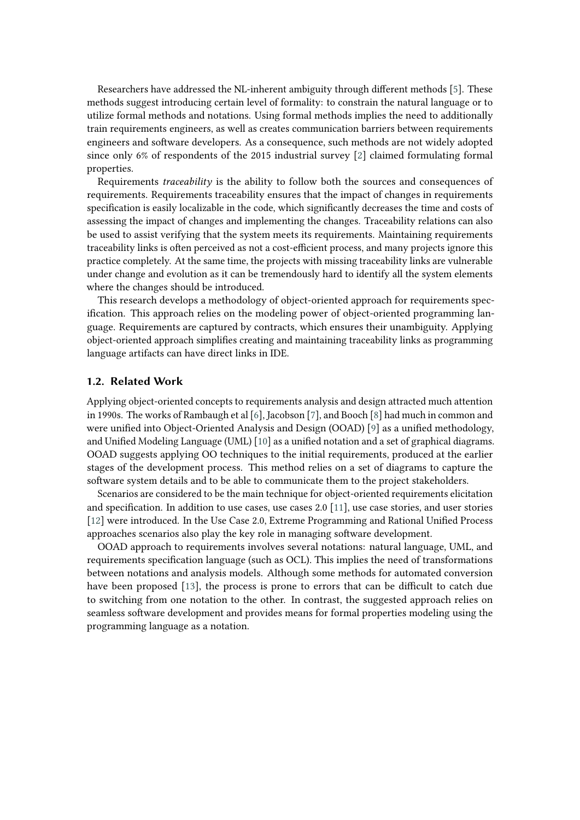Researchers have addressed the NL-inherent ambiguity through different methods [\[5\]](#page-6-0). These methods suggest introducing certain level of formality: to constrain the natural language or to utilize formal methods and notations. Using formal methods implies the need to additionally train requirements engineers, as well as creates communication barriers between requirements engineers and software developers. As a consequence, such methods are not widely adopted since only 6% of respondents of the 2015 industrial survey [\[2\]](#page-6-1) claimed formulating formal properties.

Requirements *traceability* is the ability to follow both the sources and consequences of requirements. Requirements traceability ensures that the impact of changes in requirements specification is easily localizable in the code, which significantly decreases the time and costs of assessing the impact of changes and implementing the changes. Traceability relations can also be used to assist verifying that the system meets its requirements. Maintaining requirements traceability links is often perceived as not a cost-efficient process, and many projects ignore this practice completely. At the same time, the projects with missing traceability links are vulnerable under change and evolution as it can be tremendously hard to identify all the system elements where the changes should be introduced.

This research develops a methodology of object-oriented approach for requirements specification. This approach relies on the modeling power of object-oriented programming language. Requirements are captured by contracts, which ensures their unambiguity. Applying object-oriented approach simplifies creating and maintaining traceability links as programming language artifacts can have direct links in IDE.

#### **1.2. Related Work**

Applying object-oriented concepts to requirements analysis and design attracted much attention in 1990s. The works of Rambaugh et al [\[6\]](#page-6-2), Jacobson [\[7\]](#page-6-3), and Booch [\[8\]](#page-6-4) had much in common and were unified into Object-Oriented Analysis and Design (OOAD) [\[9\]](#page-6-5) as a unified methodology, and Unified Modeling Language (UML) [\[10\]](#page-6-6) as a unified notation and a set of graphical diagrams. OOAD suggests applying OO techniques to the initial requirements, produced at the earlier stages of the development process. This method relies on a set of diagrams to capture the software system details and to be able to communicate them to the project stakeholders.

Scenarios are considered to be the main technique for object-oriented requirements elicitation and specification. In addition to use cases, use cases 2.0 [\[11\]](#page-6-7), use case stories, and user stories [\[12\]](#page-6-8) were introduced. In the Use Case 2.0, Extreme Programming and Rational Unified Process approaches scenarios also play the key role in managing software development.

OOAD approach to requirements involves several notations: natural language, UML, and requirements specification language (such as OCL). This implies the need of transformations between notations and analysis models. Although some methods for automated conversion have been proposed [\[13\]](#page-6-9), the process is prone to errors that can be difficult to catch due to switching from one notation to the other. In contrast, the suggested approach relies on seamless software development and provides means for formal properties modeling using the programming language as a notation.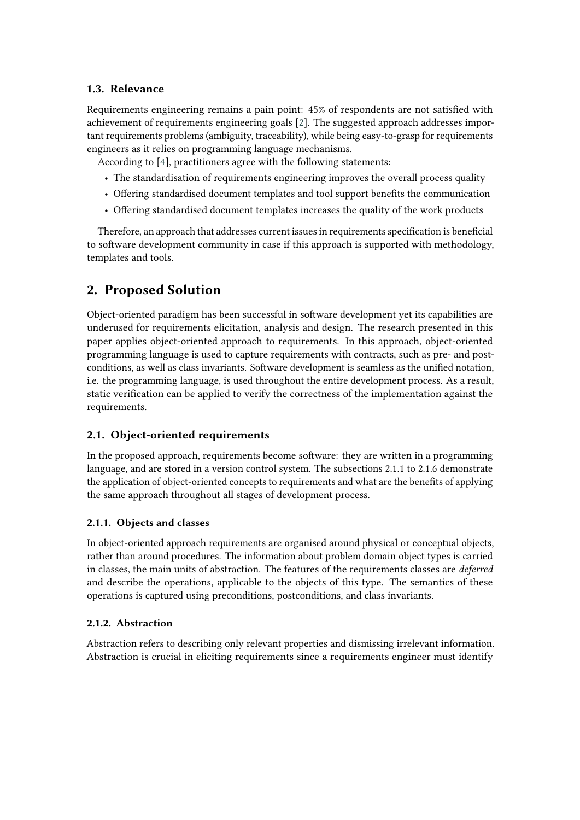## **1.3. Relevance**

Requirements engineering remains a pain point: 45% of respondents are not satisfied with achievement of requirements engineering goals [\[2\]](#page-6-1). The suggested approach addresses important requirements problems (ambiguity, traceability), while being easy-to-grasp for requirements engineers as it relies on programming language mechanisms.

According to [\[4\]](#page-6-10), practitioners agree with the following statements:

- The standardisation of requirements engineering improves the overall process quality
- Offering standardised document templates and tool support benefits the communication
- Offering standardised document templates increases the quality of the work products

Therefore, an approach that addresses current issues in requirements specification is beneficial to software development community in case if this approach is supported with methodology, templates and tools.

# **2. Proposed Solution**

Object-oriented paradigm has been successful in software development yet its capabilities are underused for requirements elicitation, analysis and design. The research presented in this paper applies object-oriented approach to requirements. In this approach, object-oriented programming language is used to capture requirements with contracts, such as pre- and postconditions, as well as class invariants. Software development is seamless as the unified notation, i.e. the programming language, is used throughout the entire development process. As a result, static verification can be applied to verify the correctness of the implementation against the requirements.

## **2.1. Object-oriented requirements**

In the proposed approach, requirements become software: they are written in a programming language, and are stored in a version control system. The subsections 2.1.1 to 2.1.6 demonstrate the application of object-oriented concepts to requirements and what are the benefits of applying the same approach throughout all stages of development process.

## **2.1.1. Objects and classes**

In object-oriented approach requirements are organised around physical or conceptual objects, rather than around procedures. The information about problem domain object types is carried in classes, the main units of abstraction. The features of the requirements classes are *deferred* and describe the operations, applicable to the objects of this type. The semantics of these operations is captured using preconditions, postconditions, and class invariants.

#### **2.1.2. Abstraction**

Abstraction refers to describing only relevant properties and dismissing irrelevant information. Abstraction is crucial in eliciting requirements since a requirements engineer must identify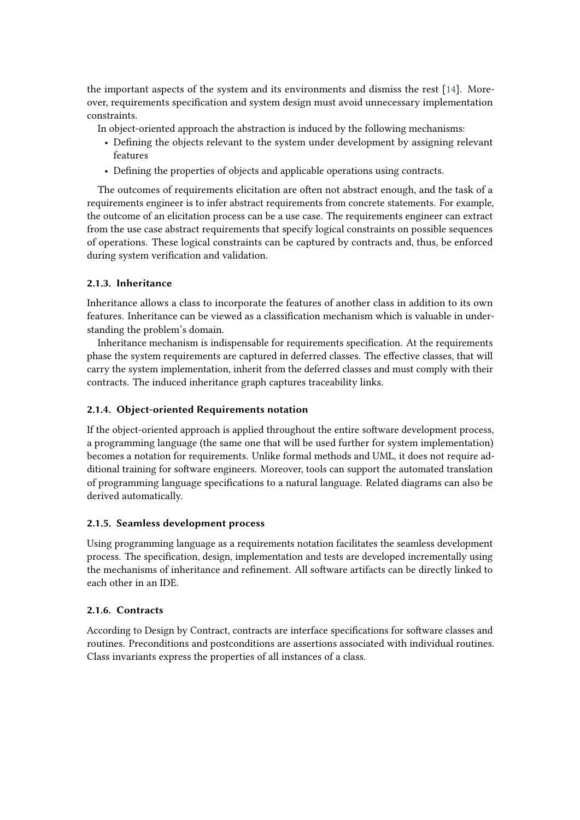the important aspects of the system and its environments and dismiss the rest [\[14\]](#page-6-11). Moreover, requirements specification and system design must avoid unnecessary implementation constraints.

In object-oriented approach the abstraction is induced by the following mechanisms:

- Defining the objects relevant to the system under development by assigning relevant features
- Defining the properties of objects and applicable operations using contracts.

The outcomes of requirements elicitation are often not abstract enough, and the task of a requirements engineer is to infer abstract requirements from concrete statements. For example, the outcome of an elicitation process can be a use case. The requirements engineer can extract from the use case abstract requirements that specify logical constraints on possible sequences of operations. These logical constraints can be captured by contracts and, thus, be enforced during system verification and validation.

#### **2.1.3. Inheritance**

Inheritance allows a class to incorporate the features of another class in addition to its own features. Inheritance can be viewed as a classification mechanism which is valuable in understanding the problem's domain.

Inheritance mechanism is indispensable for requirements specification. At the requirements phase the system requirements are captured in deferred classes. The effective classes, that will carry the system implementation, inherit from the deferred classes and must comply with their contracts. The induced inheritance graph captures traceability links.

#### **2.1.4. Object-oriented Requirements notation**

If the object-oriented approach is applied throughout the entire software development process, a programming language (the same one that will be used further for system implementation) becomes a notation for requirements. Unlike formal methods and UML, it does not require additional training for software engineers. Moreover, tools can support the automated translation of programming language specifications to a natural language. Related diagrams can also be derived automatically.

#### **2.1.5. Seamless development process**

Using programming language as a requirements notation facilitates the seamless development process. The specification, design, implementation and tests are developed incrementally using the mechanisms of inheritance and refinement. All software artifacts can be directly linked to each other in an IDE.

#### **2.1.6. Contracts**

According to Design by Contract, contracts are interface specifications for software classes and routines. Preconditions and postconditions are assertions associated with individual routines. Class invariants express the properties of all instances of a class.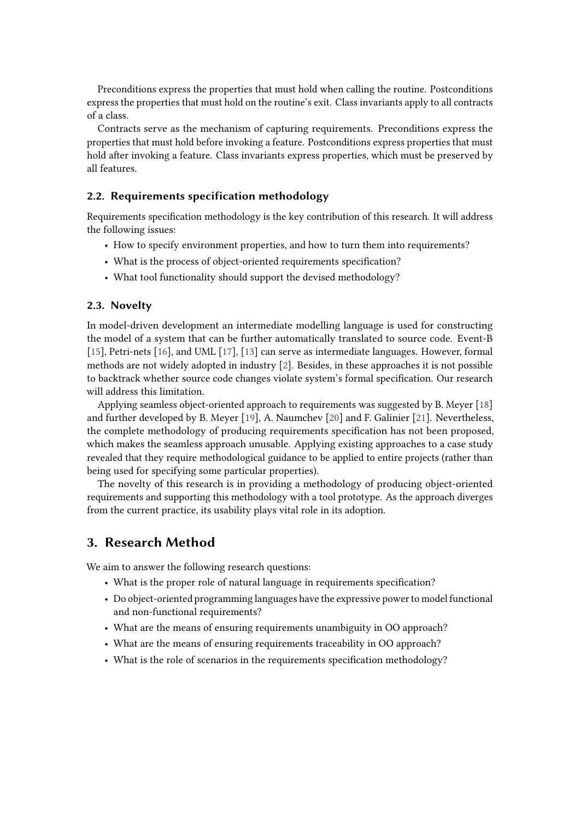Preconditions express the properties that must hold when calling the routine. Postconditions express the properties that must hold on the routine's exit. Class invariants apply to all contracts of a class.

Contracts serve as the mechanism of capturing requirements. Preconditions express the properties that must hold before invoking a feature. Postconditions express properties that must hold after invoking a feature. Class invariants express properties, which must be preserved by all features.

#### **2.2. Requirements specification methodology**

Requirements specification methodology is the key contribution of this research. It will address the following issues:

- How to specify environment properties, and how to turn them into requirements?
- What is the process of object-oriented requirements specification?
- What tool functionality should support the devised methodology?

#### **2.3. Novelty**

In model-driven development an intermediate modelling language is used for constructing the model of a system that can be further automatically translated to source code. Event-B [\[15\]](#page-6-12), Petri-nets [\[16\]](#page-6-13), and UML [\[17\]](#page-6-14), [\[13\]](#page-6-9) can serve as intermediate languages. However, formal methods are not widely adopted in industry [\[2\]](#page-6-1). Besides, in these approaches it is not possible to backtrack whether source code changes violate system's formal specification. Our research will address this limitation.

Applying seamless object-oriented approach to requirements was suggested by B. Meyer [\[18\]](#page-6-15) and further developed by B. Meyer [\[19\]](#page-6-16), A. Naumchev [\[20\]](#page-6-17) and F. Galinier [\[21\]](#page-6-18). Nevertheless, the complete methodology of producing requirements specification has not been proposed, which makes the seamless approach unusable. Applying existing approaches to a case study revealed that they require methodological guidance to be applied to entire projects (rather than being used for specifying some particular properties).

The novelty of this research is in providing a methodology of producing object-oriented requirements and supporting this methodology with a tool prototype. As the approach diverges from the current practice, its usability plays vital role in its adoption.

## **3. Research Method**

We aim to answer the following research questions:

- What is the proper role of natural language in requirements specification?
- Do object-oriented programming languages have the expressive power to model functional and non-functional requirements?
- What are the means of ensuring requirements unambiguity in OO approach?
- What are the means of ensuring requirements traceability in OO approach?
- What is the role of scenarios in the requirements specification methodology?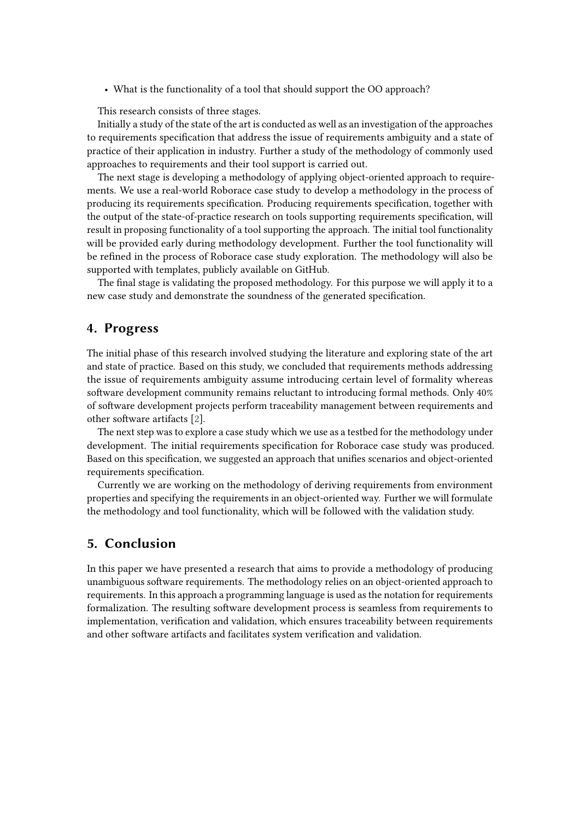• What is the functionality of a tool that should support the OO approach?

This research consists of three stages.

Initially a study of the state of the art is conducted as well as an investigation of the approaches to requirements specification that address the issue of requirements ambiguity and a state of practice of their application in industry. Further a study of the methodology of commonly used approaches to requirements and their tool support is carried out.

The next stage is developing a methodology of applying object-oriented approach to requirements. We use a real-world Roborace case study to develop a methodology in the process of producing its requirements specification. Producing requirements specification, together with the output of the state-of-practice research on tools supporting requirements specification, will result in proposing functionality of a tool supporting the approach. The initial tool functionality will be provided early during methodology development. Further the tool functionality will be refined in the process of Roborace case study exploration. The methodology will also be supported with templates, publicly available on GitHub.

The final stage is validating the proposed methodology. For this purpose we will apply it to a new case study and demonstrate the soundness of the generated specification.

## **4. Progress**

The initial phase of this research involved studying the literature and exploring state of the art and state of practice. Based on this study, we concluded that requirements methods addressing the issue of requirements ambiguity assume introducing certain level of formality whereas software development community remains reluctant to introducing formal methods. Only 40% of software development projects perform traceability management between requirements and other software artifacts [\[2\]](#page-6-1).

The next step was to explore a case study which we use as a testbed for the methodology under development. The initial requirements specification for Roborace case study was produced. Based on this specification, we suggested an approach that unifies scenarios and object-oriented requirements specification.

Currently we are working on the methodology of deriving requirements from environment properties and specifying the requirements in an object-oriented way. Further we will formulate the methodology and tool functionality, which will be followed with the validation study.

## **5. Conclusion**

In this paper we have presented a research that aims to provide a methodology of producing unambiguous software requirements. The methodology relies on an object-oriented approach to requirements. In this approach a programming language is used as the notation for requirements formalization. The resulting software development process is seamless from requirements to implementation, verification and validation, which ensures traceability between requirements and other software artifacts and facilitates system verification and validation.